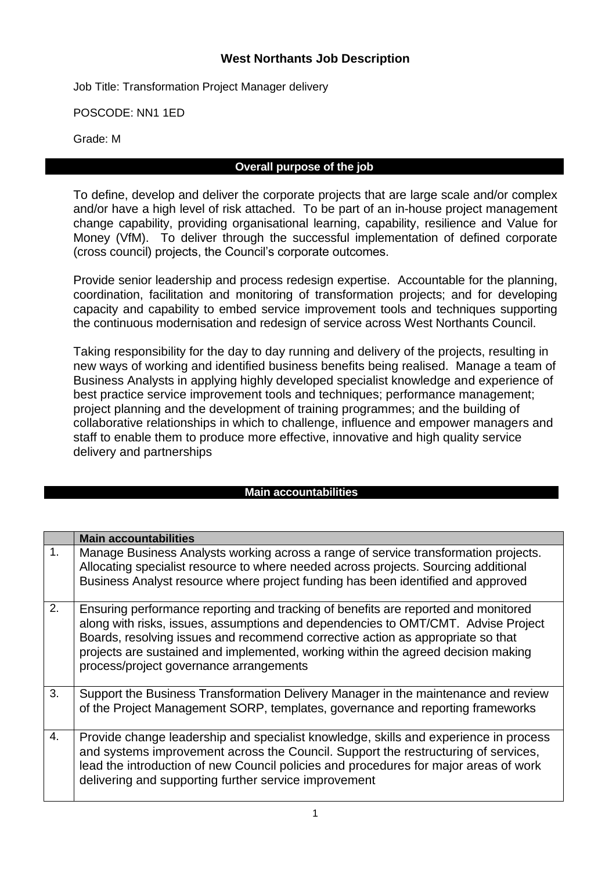# **West Northants Job Description**

Job Title: Transformation Project Manager delivery

POSCODE: NN1 1ED

Grade: M

### **Overall purpose of the job**

To define, develop and deliver the corporate projects that are large scale and/or complex and/or have a high level of risk attached. To be part of an in-house project management change capability, providing organisational learning, capability, resilience and Value for Money (VfM). To deliver through the successful implementation of defined corporate (cross council) projects, the Council's corporate outcomes.

Provide senior leadership and process redesign expertise. Accountable for the planning, coordination, facilitation and monitoring of transformation projects; and for developing capacity and capability to embed service improvement tools and techniques supporting the continuous modernisation and redesign of service across West Northants Council.

Taking responsibility for the day to day running and delivery of the projects, resulting in new ways of working and identified business benefits being realised. Manage a team of Business Analysts in applying highly developed specialist knowledge and experience of best practice service improvement tools and techniques; performance management; project planning and the development of training programmes; and the building of collaborative relationships in which to challenge, influence and empower managers and staff to enable them to produce more effective, innovative and high quality service delivery and partnerships

#### **Main accountabilities**

|                | <b>Main accountabilities</b>                                                                                                                                                                                                                                                                                                                                                               |
|----------------|--------------------------------------------------------------------------------------------------------------------------------------------------------------------------------------------------------------------------------------------------------------------------------------------------------------------------------------------------------------------------------------------|
| $\mathbf{1}$ . | Manage Business Analysts working across a range of service transformation projects.<br>Allocating specialist resource to where needed across projects. Sourcing additional<br>Business Analyst resource where project funding has been identified and approved                                                                                                                             |
| 2.             | Ensuring performance reporting and tracking of benefits are reported and monitored<br>along with risks, issues, assumptions and dependencies to OMT/CMT. Advise Project<br>Boards, resolving issues and recommend corrective action as appropriate so that<br>projects are sustained and implemented, working within the agreed decision making<br>process/project governance arrangements |
| 3.             | Support the Business Transformation Delivery Manager in the maintenance and review<br>of the Project Management SORP, templates, governance and reporting frameworks                                                                                                                                                                                                                       |
| 4.             | Provide change leadership and specialist knowledge, skills and experience in process<br>and systems improvement across the Council. Support the restructuring of services,<br>lead the introduction of new Council policies and procedures for major areas of work<br>delivering and supporting further service improvement                                                                |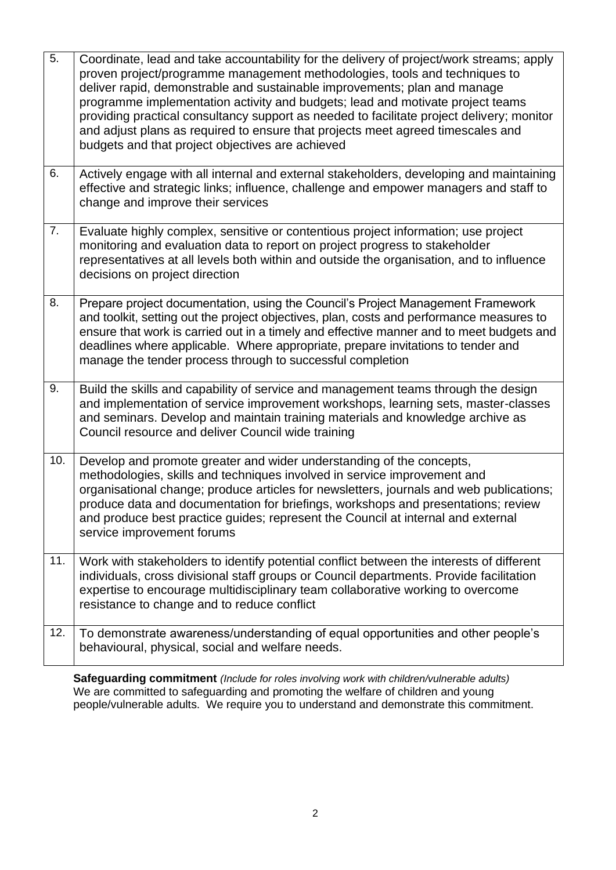| $\overline{5}$ . | Coordinate, lead and take accountability for the delivery of project/work streams; apply<br>proven project/programme management methodologies, tools and techniques to<br>deliver rapid, demonstrable and sustainable improvements; plan and manage<br>programme implementation activity and budgets; lead and motivate project teams<br>providing practical consultancy support as needed to facilitate project delivery; monitor<br>and adjust plans as required to ensure that projects meet agreed timescales and<br>budgets and that project objectives are achieved |
|------------------|---------------------------------------------------------------------------------------------------------------------------------------------------------------------------------------------------------------------------------------------------------------------------------------------------------------------------------------------------------------------------------------------------------------------------------------------------------------------------------------------------------------------------------------------------------------------------|
| 6.               | Actively engage with all internal and external stakeholders, developing and maintaining<br>effective and strategic links; influence, challenge and empower managers and staff to<br>change and improve their services                                                                                                                                                                                                                                                                                                                                                     |
| 7.               | Evaluate highly complex, sensitive or contentious project information; use project<br>monitoring and evaluation data to report on project progress to stakeholder<br>representatives at all levels both within and outside the organisation, and to influence<br>decisions on project direction                                                                                                                                                                                                                                                                           |
| 8.               | Prepare project documentation, using the Council's Project Management Framework<br>and toolkit, setting out the project objectives, plan, costs and performance measures to<br>ensure that work is carried out in a timely and effective manner and to meet budgets and<br>deadlines where applicable. Where appropriate, prepare invitations to tender and<br>manage the tender process through to successful completion                                                                                                                                                 |
| 9.               | Build the skills and capability of service and management teams through the design<br>and implementation of service improvement workshops, learning sets, master-classes<br>and seminars. Develop and maintain training materials and knowledge archive as<br>Council resource and deliver Council wide training                                                                                                                                                                                                                                                          |
| 10.              | Develop and promote greater and wider understanding of the concepts,<br>methodologies, skills and techniques involved in service improvement and<br>organisational change; produce articles for newsletters, journals and web publications;<br>produce data and documentation for briefings, workshops and presentations; review<br>and produce best practice guides; represent the Council at internal and external<br>service improvement forums                                                                                                                        |
| 11.              | Work with stakeholders to identify potential conflict between the interests of different<br>individuals, cross divisional staff groups or Council departments. Provide facilitation<br>expertise to encourage multidisciplinary team collaborative working to overcome<br>resistance to change and to reduce conflict                                                                                                                                                                                                                                                     |
| 12.              | To demonstrate awareness/understanding of equal opportunities and other people's<br>behavioural, physical, social and welfare needs.                                                                                                                                                                                                                                                                                                                                                                                                                                      |

**Safeguarding commitment** *(Include for roles involving work with children/vulnerable adults)* We are committed to safeguarding and promoting the welfare of children and young people/vulnerable adults. We require you to understand and demonstrate this commitment.